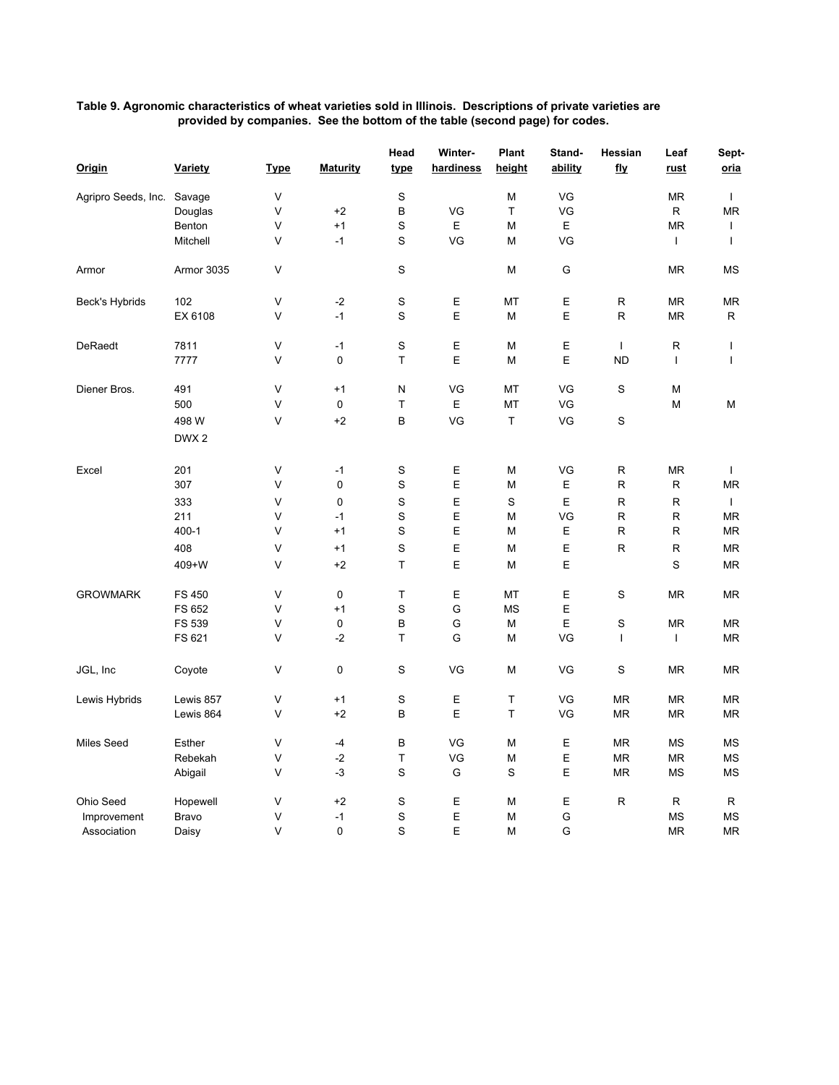## **Table 9. Agronomic characteristics of wheat varieties sold in Illinois. Descriptions of private varieties are provided by companies. See the bottom of the table (second page) for codes.**

|                            |                  |             |                 | Head        | Winter-     | Plant     | Stand-  | Hessian      | Leaf         | Sept-        |
|----------------------------|------------------|-------------|-----------------|-------------|-------------|-----------|---------|--------------|--------------|--------------|
| <b>Origin</b>              | <b>Variety</b>   | <b>Type</b> | <b>Maturity</b> | <u>type</u> | hardiness   | height    | ability | <u>fly</u>   | <u>rust</u>  | oria         |
| Agripro Seeds, Inc. Savage |                  | V           |                 | S           |             | M         | VG      |              | ΜR           | T            |
|                            | Douglas          | V           | $+2$            | $\sf B$     | VG          | T         | VG      |              | ${\sf R}$    | <b>MR</b>    |
|                            | Benton           | V           | $+1$            | S           | $\mathsf E$ | M         | Е       |              | <b>MR</b>    | $\mathbf{I}$ |
|                            | Mitchell         | V           | $-1$            | S           | VG          | M         | VG      |              | T            | T            |
| Armor                      | Armor 3035       | V           |                 | S           |             | M         | G       |              | <b>MR</b>    | <b>MS</b>    |
| Beck's Hybrids             | 102              | V           | $-2$            | S           | Ε           | МT        | Е       | R            | MR           | ΜR           |
|                            | EX 6108          | V           | $-1$            | S           | E           | M         | Е       | $\mathsf{R}$ | ΜR           | R            |
| <b>DeRaedt</b>             | 7811             | V           | $-1$            | $\mathbf S$ | E           | M         | Е       | $\mathbf{I}$ | R            | T            |
|                            | 7777             | V           | $\mathbf 0$     | T           | E           | M         | Е       | <b>ND</b>    | $\mathbf{I}$ | T            |
| Diener Bros.               | 491              | V           | $+1$            | N           | VG          | МT        | VG      | S            | М            |              |
|                            | 500              | V           | 0               | T           | Е           | MT        | VG      |              | М            | М            |
|                            | 498 W            | V           | $+2$            | B           | VG          | T         | VG      | $\mathbb S$  |              |              |
|                            | DWX <sub>2</sub> |             |                 |             |             |           |         |              |              |              |
| Excel                      | 201              | $\vee$      | $-1$            | $\mathbb S$ | $\mathsf E$ | M         | VG      | R            | ΜR           | $\mathbf{I}$ |
|                            | 307              | V           | 0               | S           | Е           | M         | Е       | R            | R            | MR           |
|                            | 333              | V           | 0               | S           | E           | S         | Е       | $\mathsf{R}$ | R            | $\mathbf{I}$ |
|                            | 211              | V           | $-1$            | $\mathbf S$ | E           | M         | VG      | $\mathsf{R}$ | R            | ΜR           |
|                            | $400 - 1$        | V           | $+1$            | S           | E           | M         | Е       | $\mathsf R$  | R            | ΜR           |
|                            | 408              | V           | $+1$            | S           | Ε           | M         | Е       | R            | R            | MR           |
|                            | 409+W            | V           | $+2$            | T           | E           | M         | E       |              | S            | <b>MR</b>    |
| <b>GROWMARK</b>            | <b>FS 450</b>    | V           | 0               | T           | Ε           | MT        | Е       | S            | <b>MR</b>    | <b>MR</b>    |
|                            | FS 652           | V           | $+1$            | S           | G           | <b>MS</b> | E       |              |              |              |
|                            | FS 539           | V           | 0               | B           | G           | M         | Е       | S            | <b>MR</b>    | <b>MR</b>    |
|                            | FS 621           | V           | $-2$            | T           | G           | M         | VG      | $\mathbf{I}$ | T            | <b>MR</b>    |
|                            |                  |             |                 |             |             |           |         |              |              |              |
| JGL, Inc                   | Coyote           | V           | 0               | S           | VG          | M         | VG      | S            | <b>MR</b>    | <b>MR</b>    |
| Lewis Hybrids              | Lewis 857        | V           | $+1$            | $\mathbf S$ | Ε           | Τ         | VG      | MR.          | ΜR           | MR           |
|                            | Lewis 864        | V           | $+2$            | В           | E           | T         | VG      | <b>MR</b>    | MR           | ΜR           |
| <b>Miles Seed</b>          | Esther           | V           | $-4$            | B           | VG          | M         | E       | <b>MR</b>    | <b>MS</b>    | <b>MS</b>    |
|                            | Rebekah          | V           | $-2$            | T           | VG          | M         | E       | <b>MR</b>    | ΜR           | МS           |
|                            | Abigail          | V           | $-3$            | S           | G           | S         | Ε       | <b>MR</b>    | MS           | МS           |
| Ohio Seed                  | Hopewell         | V           | $+2$            | S           | $\mathsf E$ | M         | Е       | $\mathsf{R}$ | R            | R            |
| Improvement                | <b>Bravo</b>     | V           | $-1$            | S           | E           | M         | G       |              | <b>MS</b>    | <b>MS</b>    |
| Association                | Daisy            | V           | 0               | S           | E           | M         | G       |              | <b>MR</b>    | <b>MR</b>    |